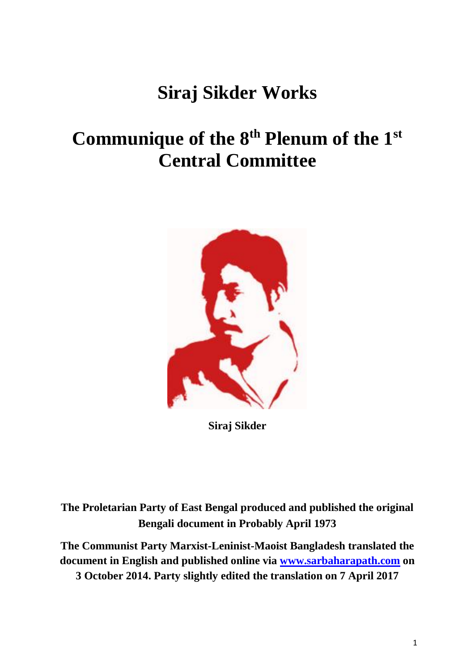# **Siraj Sikder Works**

# **Communique of the 8th Plenum of the 1st Central Committee**



**Siraj Sikder**

**The Proletarian Party of East Bengal produced and published the original Bengali document in Probably April 1973**

**The Communist Party Marxist-Leninist-Maoist Bangladesh translated the document in English and published online via [www.sarbaharapath.com](http://www.sarbaharapath.com/) on 3 October 2014. Party slightly edited the translation on 7 April 2017**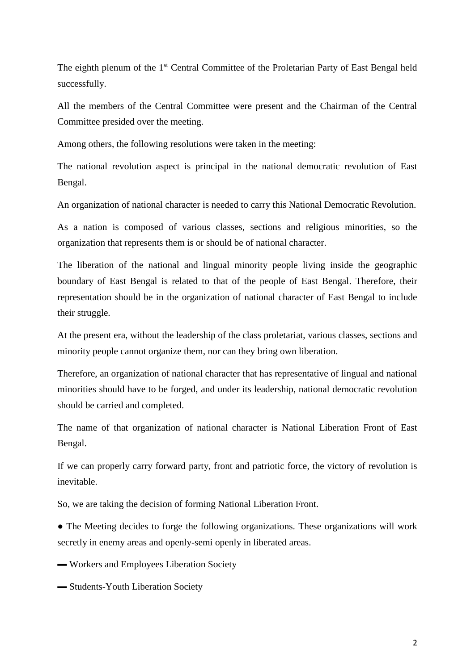The eighth plenum of the 1<sup>st</sup> Central Committee of the Proletarian Party of East Bengal held successfully.

All the members of the Central Committee were present and the Chairman of the Central Committee presided over the meeting.

Among others, the following resolutions were taken in the meeting:

The national revolution aspect is principal in the national democratic revolution of East Bengal.

An organization of national character is needed to carry this National Democratic Revolution.

As a nation is composed of various classes, sections and religious minorities, so the organization that represents them is or should be of national character.

The liberation of the national and lingual minority people living inside the geographic boundary of East Bengal is related to that of the people of East Bengal. Therefore, their representation should be in the organization of national character of East Bengal to include their struggle.

At the present era, without the leadership of the class proletariat, various classes, sections and minority people cannot organize them, nor can they bring own liberation.

Therefore, an organization of national character that has representative of lingual and national minorities should have to be forged, and under its leadership, national democratic revolution should be carried and completed.

The name of that organization of national character is National Liberation Front of East Bengal.

If we can properly carry forward party, front and patriotic force, the victory of revolution is inevitable.

So, we are taking the decision of forming National Liberation Front.

• The Meeting decides to forge the following organizations. These organizations will work secretly in enemy areas and openly-semi openly in liberated areas.

▬ Workers and Employees Liberation Society

▬ Students-Youth Liberation Society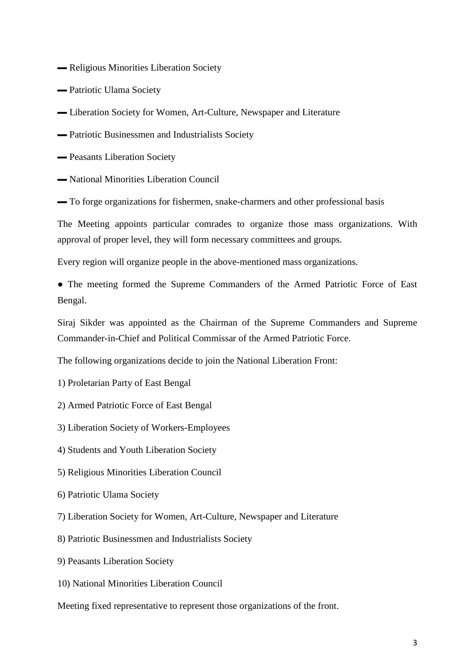- ▬ Religious Minorities Liberation Society
- ▬ Patriotic Ulama Society
- ▬ Liberation Society for Women, Art-Culture, Newspaper and Literature
- ▬ Patriotic Businessmen and Industrialists Society
- ▬ Peasants Liberation Society
- ▬ National Minorities Liberation Council
- ▬ To forge organizations for fishermen, snake-charmers and other professional basis

The Meeting appoints particular comrades to organize those mass organizations. With approval of proper level, they will form necessary committees and groups.

Every region will organize people in the above-mentioned mass organizations.

● The meeting formed the Supreme Commanders of the Armed Patriotic Force of East Bengal.

Siraj Sikder was appointed as the Chairman of the Supreme Commanders and Supreme Commander-in-Chief and Political Commissar of the Armed Patriotic Force.

The following organizations decide to join the National Liberation Front:

1) Proletarian Party of East Bengal

2) Armed Patriotic Force of East Bengal

3) Liberation Society of Workers-Employees

4) Students and Youth Liberation Society

- 5) Religious Minorities Liberation Council
- 6) Patriotic Ulama Society
- 7) Liberation Society for Women, Art-Culture, Newspaper and Literature
- 8) Patriotic Businessmen and Industrialists Society
- 9) Peasants Liberation Society
- 10) National Minorities Liberation Council

Meeting fixed representative to represent those organizations of the front.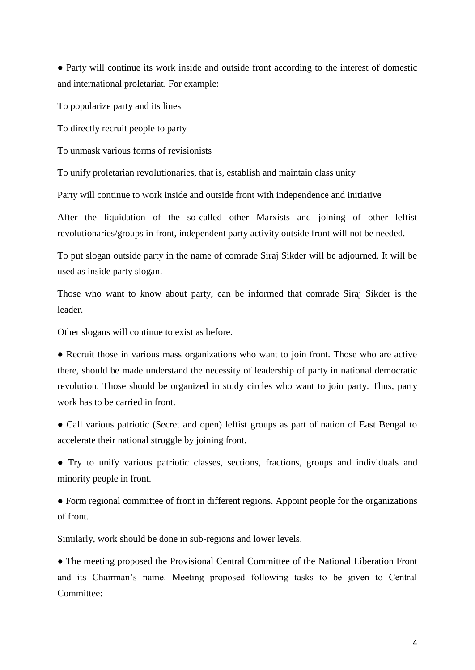● Party will continue its work inside and outside front according to the interest of domestic and international proletariat. For example:

To popularize party and its lines

To directly recruit people to party

To unmask various forms of revisionists

To unify proletarian revolutionaries, that is, establish and maintain class unity

Party will continue to work inside and outside front with independence and initiative

After the liquidation of the so-called other Marxists and joining of other leftist revolutionaries/groups in front, independent party activity outside front will not be needed.

To put slogan outside party in the name of comrade Siraj Sikder will be adjourned. It will be used as inside party slogan.

Those who want to know about party, can be informed that comrade Siraj Sikder is the leader.

Other slogans will continue to exist as before.

• Recruit those in various mass organizations who want to join front. Those who are active there, should be made understand the necessity of leadership of party in national democratic revolution. Those should be organized in study circles who want to join party. Thus, party work has to be carried in front.

● Call various patriotic (Secret and open) leftist groups as part of nation of East Bengal to accelerate their national struggle by joining front.

● Try to unify various patriotic classes, sections, fractions, groups and individuals and minority people in front.

• Form regional committee of front in different regions. Appoint people for the organizations of front.

Similarly, work should be done in sub-regions and lower levels.

• The meeting proposed the Provisional Central Committee of the National Liberation Front and its Chairman's name. Meeting proposed following tasks to be given to Central Committee: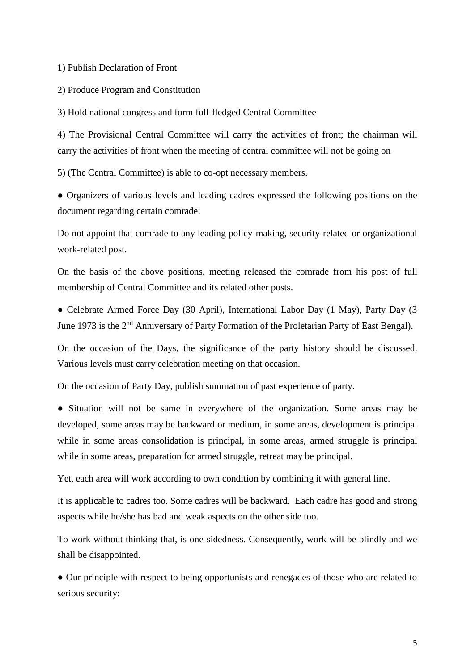1) Publish Declaration of Front

2) Produce Program and Constitution

3) Hold national congress and form full-fledged Central Committee

4) The Provisional Central Committee will carry the activities of front; the chairman will carry the activities of front when the meeting of central committee will not be going on

5) (The Central Committee) is able to co-opt necessary members.

● Organizers of various levels and leading cadres expressed the following positions on the document regarding certain comrade:

Do not appoint that comrade to any leading policy-making, security-related or organizational work-related post.

On the basis of the above positions, meeting released the comrade from his post of full membership of Central Committee and its related other posts.

• Celebrate Armed Force Day (30 April), International Labor Day (1 May), Party Day (3 June 1973 is the 2<sup>nd</sup> Anniversary of Party Formation of the Proletarian Party of East Bengal).

On the occasion of the Days, the significance of the party history should be discussed. Various levels must carry celebration meeting on that occasion.

On the occasion of Party Day, publish summation of past experience of party.

● Situation will not be same in everywhere of the organization. Some areas may be developed, some areas may be backward or medium, in some areas, development is principal while in some areas consolidation is principal, in some areas, armed struggle is principal while in some areas, preparation for armed struggle, retreat may be principal.

Yet, each area will work according to own condition by combining it with general line.

It is applicable to cadres too. Some cadres will be backward. Each cadre has good and strong aspects while he/she has bad and weak aspects on the other side too.

To work without thinking that, is one-sidedness. Consequently, work will be blindly and we shall be disappointed.

● Our principle with respect to being opportunists and renegades of those who are related to serious security: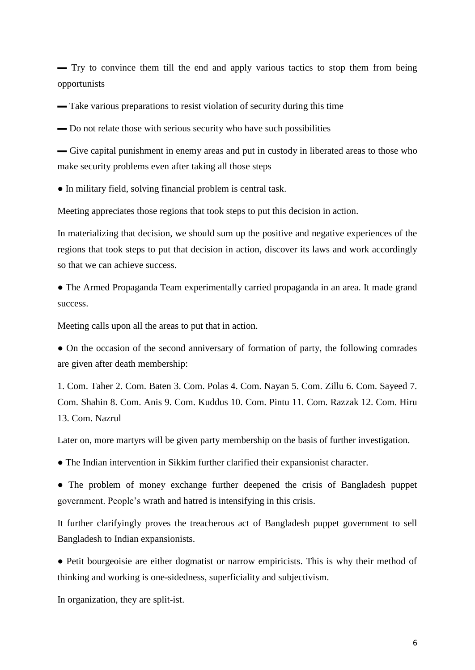▬ Try to convince them till the end and apply various tactics to stop them from being opportunists

▬ Take various preparations to resist violation of security during this time

▬ Do not relate those with serious security who have such possibilities

▬ Give capital punishment in enemy areas and put in custody in liberated areas to those who make security problems even after taking all those steps

● In military field, solving financial problem is central task.

Meeting appreciates those regions that took steps to put this decision in action.

In materializing that decision, we should sum up the positive and negative experiences of the regions that took steps to put that decision in action, discover its laws and work accordingly so that we can achieve success.

• The Armed Propaganda Team experimentally carried propaganda in an area. It made grand success.

Meeting calls upon all the areas to put that in action.

• On the occasion of the second anniversary of formation of party, the following comrades are given after death membership:

1. Com. Taher 2. Com. Baten 3. Com. Polas 4. Com. Nayan 5. Com. Zillu 6. Com. Sayeed 7. Com. Shahin 8. Com. Anis 9. Com. Kuddus 10. Com. Pintu 11. Com. Razzak 12. Com. Hiru 13. Com. Nazrul

Later on, more martyrs will be given party membership on the basis of further investigation.

● The Indian intervention in Sikkim further clarified their expansionist character.

• The problem of money exchange further deepened the crisis of Bangladesh puppet government. People's wrath and hatred is intensifying in this crisis.

It further clarifyingly proves the treacherous act of Bangladesh puppet government to sell Bangladesh to Indian expansionists.

• Petit bourgeoisie are either dogmatist or narrow empiricists. This is why their method of thinking and working is one-sidedness, superficiality and subjectivism.

In organization, they are split-ist.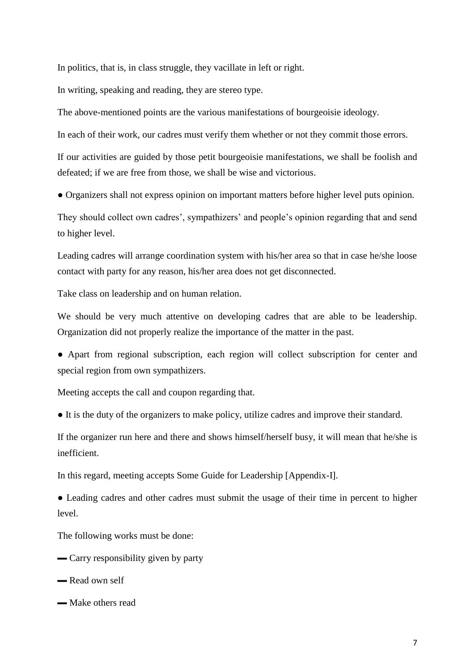In politics, that is, in class struggle, they vacillate in left or right.

In writing, speaking and reading, they are stereo type.

The above-mentioned points are the various manifestations of bourgeoisie ideology.

In each of their work, our cadres must verify them whether or not they commit those errors.

If our activities are guided by those petit bourgeoisie manifestations, we shall be foolish and defeated; if we are free from those, we shall be wise and victorious.

● Organizers shall not express opinion on important matters before higher level puts opinion.

They should collect own cadres', sympathizers' and people's opinion regarding that and send to higher level.

Leading cadres will arrange coordination system with his/her area so that in case he/she loose contact with party for any reason, his/her area does not get disconnected.

Take class on leadership and on human relation.

We should be very much attentive on developing cadres that are able to be leadership. Organization did not properly realize the importance of the matter in the past.

● Apart from regional subscription, each region will collect subscription for center and special region from own sympathizers.

Meeting accepts the call and coupon regarding that.

● It is the duty of the organizers to make policy, utilize cadres and improve their standard.

If the organizer run here and there and shows himself/herself busy, it will mean that he/she is inefficient.

In this regard, meeting accepts Some Guide for Leadership [Appendix-I].

• Leading cadres and other cadres must submit the usage of their time in percent to higher level.

The following works must be done:

— Carry responsibility given by party

▬ Read own self

— Make others read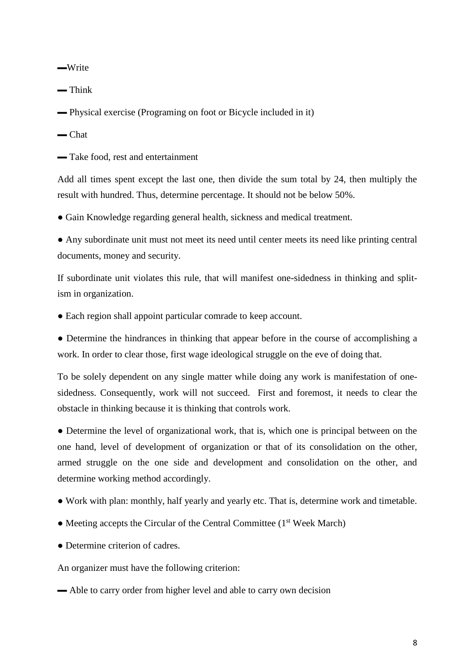▬Write

▬ Think

▬ Physical exercise (Programing on foot or Bicycle included in it)

▬ Chat

▬ Take food, rest and entertainment

Add all times spent except the last one, then divide the sum total by 24, then multiply the result with hundred. Thus, determine percentage. It should not be below 50%.

● Gain Knowledge regarding general health, sickness and medical treatment.

● Any subordinate unit must not meet its need until center meets its need like printing central documents, money and security.

If subordinate unit violates this rule, that will manifest one-sidedness in thinking and splitism in organization.

• Each region shall appoint particular comrade to keep account.

● Determine the hindrances in thinking that appear before in the course of accomplishing a work. In order to clear those, first wage ideological struggle on the eve of doing that.

To be solely dependent on any single matter while doing any work is manifestation of onesidedness. Consequently, work will not succeed. First and foremost, it needs to clear the obstacle in thinking because it is thinking that controls work.

• Determine the level of organizational work, that is, which one is principal between on the one hand, level of development of organization or that of its consolidation on the other, armed struggle on the one side and development and consolidation on the other, and determine working method accordingly.

- Work with plan: monthly, half yearly and yearly etc. That is, determine work and timetable.
- $\bullet$  Meeting accepts the Circular of the Central Committee (1<sup>st</sup> Week March)
- Determine criterion of cadres.

An organizer must have the following criterion:

 $\rightarrow$  Able to carry order from higher level and able to carry own decision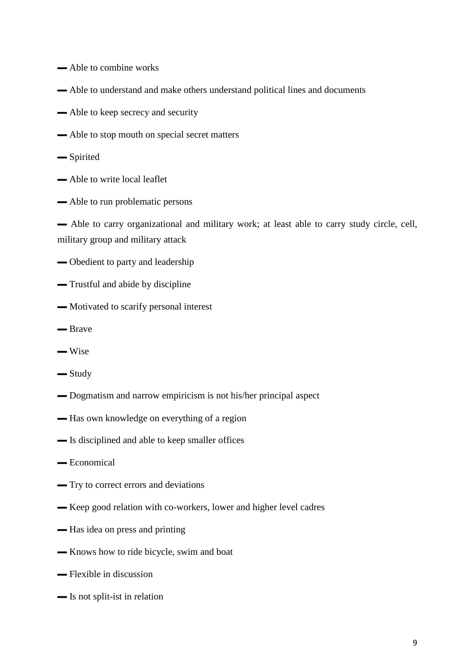- ▬ Able to combine works
- ▬ Able to understand and make others understand political lines and documents
- Able to keep secrecy and security
- $\rightarrow$  Able to stop mouth on special secret matters
- ▬ Spirited
- $\longrightarrow$  Able to write local leaflet
- ▬ Able to run problematic persons

▬ Able to carry organizational and military work; at least able to carry study circle, cell, military group and military attack

- Obedient to party and leadership
- ▬ Trustful and abide by discipline
- ▬ Motivated to scarify personal interest
- ▬ Brave
- ▬ Wise
- ▬ Study
- ▬ Dogmatism and narrow empiricism is not his/her principal aspect
- $-$  Has own knowledge on everything of a region
- $\equiv$  Is disciplined and able to keep smaller offices
- ▬ Economical
- ▬ Try to correct errors and deviations
- ▬ Keep good relation with co-workers, lower and higher level cadres
- ▬ Has idea on press and printing
- ▬ Knows how to ride bicycle, swim and boat
- ▬ Flexible in discussion
- ▬ Is not split-ist in relation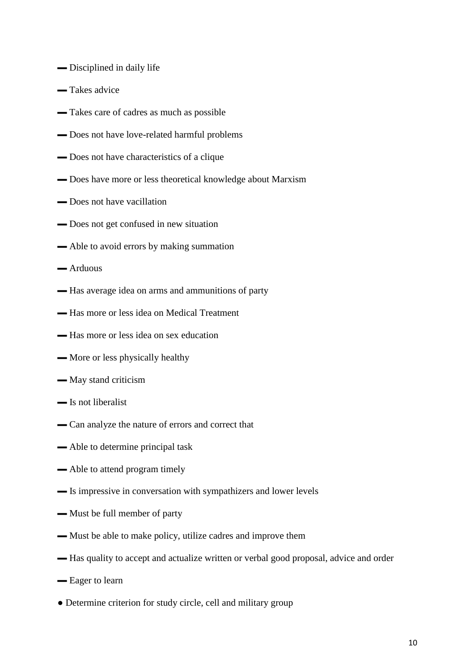- ▬ Disciplined in daily life
- ▬ Takes advice
- ▬ Takes care of cadres as much as possible
- ▬ Does not have love-related harmful problems
- ▬ Does not have characteristics of a clique
- ▬ Does have more or less theoretical knowledge about Marxism
- ▬ Does not have vacillation
- ▬ Does not get confused in new situation
- ▬ Able to avoid errors by making summation
- ▬ Arduous
- ▬ Has average idea on arms and ammunitions of party
- ▬ Has more or less idea on Medical Treatment
- ▬ Has more or less idea on sex education
- ▬ More or less physically healthy
- ▬ May stand criticism
- ▬ Is not liberalist
- ▬ Can analyze the nature of errors and correct that
- ▬ Able to determine principal task
- $\rightarrow$  Able to attend program timely
- ▬ Is impressive in conversation with sympathizers and lower levels
- ▬ Must be full member of party
- ▬ Must be able to make policy, utilize cadres and improve them
- $-$  Has quality to accept and actualize written or verbal good proposal, advice and order
- ▬ Eager to learn
- Determine criterion for study circle, cell and military group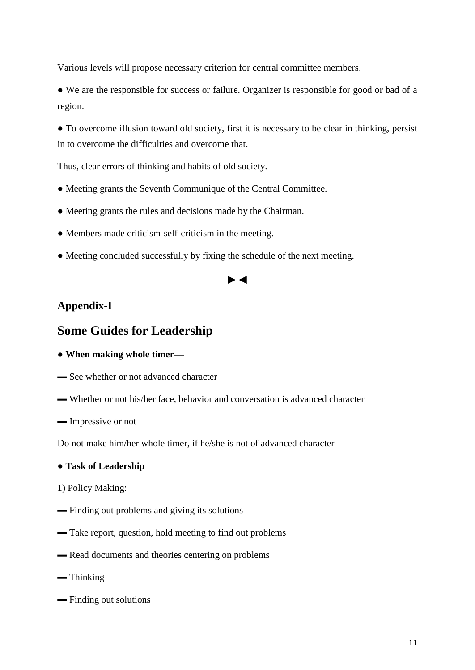Various levels will propose necessary criterion for central committee members.

• We are the responsible for success or failure. Organizer is responsible for good or bad of a region.

● To overcome illusion toward old society, first it is necessary to be clear in thinking, persist in to overcome the difficulties and overcome that.

Thus, clear errors of thinking and habits of old society.

- Meeting grants the Seventh Communique of the Central Committee.
- Meeting grants the rules and decisions made by the Chairman.
- Members made criticism-self-criticism in the meeting.
- Meeting concluded successfully by fixing the schedule of the next meeting.

### ►◄

## **Appendix-I**

## **Some Guides for Leadership**

- **When making whole timer—**
- ▬ See whether or not advanced character
- ▬ Whether or not his/her face, behavior and conversation is advanced character
- ▬ Impressive or not

Do not make him/her whole timer, if he/she is not of advanced character

### ● **Task of Leadership**

- 1) Policy Making:
- ▬ Finding out problems and giving its solutions
- ▬ Take report, question, hold meeting to find out problems
- $\equiv$  Read documents and theories centering on problems
- Thinking
- ▬ Finding out solutions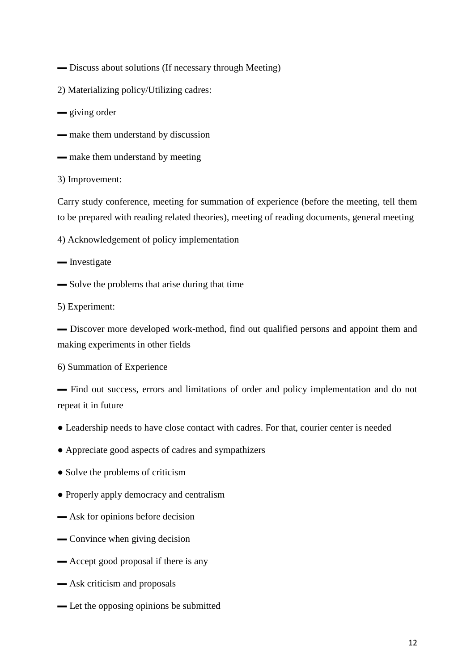▬ Discuss about solutions (If necessary through Meeting)

- 2) Materializing policy/Utilizing cadres:
- ▬ giving order
- make them understand by discussion
- $\blacksquare$  make them understand by meeting

3) Improvement:

Carry study conference, meeting for summation of experience (before the meeting, tell them to be prepared with reading related theories), meeting of reading documents, general meeting

- 4) Acknowledgement of policy implementation
- Investigate
- ▬ Solve the problems that arise during that time
- 5) Experiment:

▬ Discover more developed work-method, find out qualified persons and appoint them and making experiments in other fields

6) Summation of Experience

▬ Find out success, errors and limitations of order and policy implementation and do not repeat it in future

- Leadership needs to have close contact with cadres. For that, courier center is needed
- Appreciate good aspects of cadres and sympathizers
- Solve the problems of criticism
- Properly apply democracy and centralism
- ▬ Ask for opinions before decision
- ▬ Convince when giving decision
- **← Accept good proposal if there is any**
- ▬ Ask criticism and proposals
- Let the opposing opinions be submitted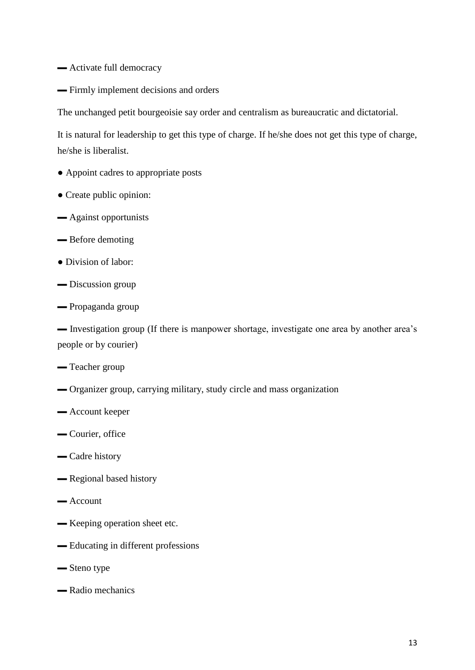- ▬ Activate full democracy
- ▬ Firmly implement decisions and orders

The unchanged petit bourgeoisie say order and centralism as bureaucratic and dictatorial.

It is natural for leadership to get this type of charge. If he/she does not get this type of charge, he/she is liberalist.

- Appoint cadres to appropriate posts
- Create public opinion:
- ▬ Against opportunists
- ▬ Before demoting
- Division of labor:
- Discussion group
- ▬ Propaganda group

▬ Investigation group (If there is manpower shortage, investigate one area by another area's people or by courier)

- ▬ Teacher group
- ▬ Organizer group, carrying military, study circle and mass organization
- ▬ Account keeper
- ▬ Courier, office
- ▬ Cadre history
- Regional based history
- ▬ Account
- ▬ Keeping operation sheet etc.
- ▬ Educating in different professions
- ▬ Steno type
- ▬ Radio mechanics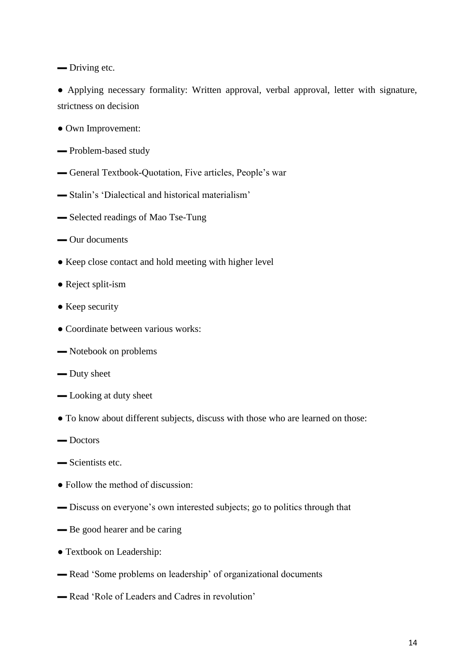— Driving etc.

● Applying necessary formality: Written approval, verbal approval, letter with signature, strictness on decision

- Own Improvement:
- ▬ Problem-based study
- ▬ General Textbook-Quotation, Five articles, People's war
- ▬ Stalin's 'Dialectical and historical materialism'
- ▬ Selected readings of Mao Tse-Tung
- ▬ Our documents
- Keep close contact and hold meeting with higher level
- Reject split-ism
- Keep security
- Coordinate between various works:
- ▬ Notebook on problems
- Duty sheet
- Looking at duty sheet
- To know about different subjects, discuss with those who are learned on those:
- ▬ Doctors
- ▬ Scientists etc.
- Follow the method of discussion:
- ▬ Discuss on everyone's own interested subjects; go to politics through that
- Be good hearer and be caring
- Textbook on Leadership:
- ▬ Read 'Some problems on leadership' of organizational documents
- ▬ Read 'Role of Leaders and Cadres in revolution'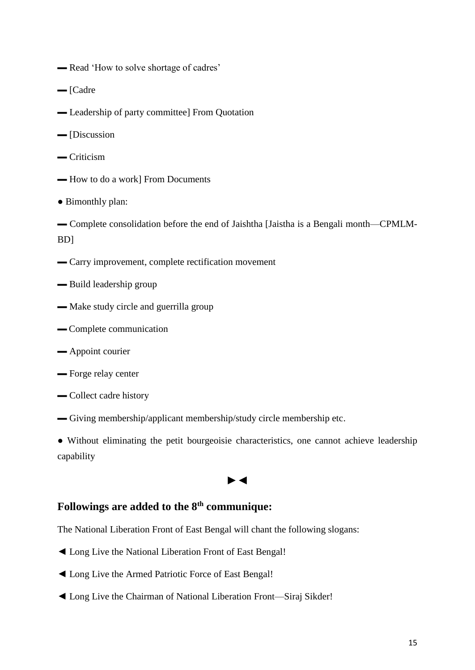- ▬ Read 'How to solve shortage of cadres'
- ▬ [Cadre
- ▬ Leadership of party committee] From Quotation
- ▬ [Discussion
- ▬ Criticism
- ▬ How to do a work] From Documents
- Bimonthly plan:
- ▬ Complete consolidation before the end of Jaishtha [Jaistha is a Bengali month—CPMLM-BD]
- ▬ Carry improvement, complete rectification movement
- ▬ Build leadership group
- Make study circle and guerrilla group
- ▬ Complete communication
- ▬ Appoint courier
- ▬ Forge relay center
- ▬ Collect cadre history
- ▬ Giving membership/applicant membership/study circle membership etc.

● Without eliminating the petit bourgeoisie characteristics, one cannot achieve leadership capability

### ►◄

## **Followings are added to the 8th communique:**

The National Liberation Front of East Bengal will chant the following slogans:

- ◄ Long Live the National Liberation Front of East Bengal!
- ◄ Long Live the Armed Patriotic Force of East Bengal!
- ◄ Long Live the Chairman of National Liberation Front—Siraj Sikder!